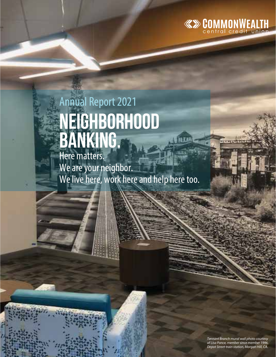

# Annual Report 2021 **Neighborhood banking.**

Here matters. We are your neighbor. We live here, work here and help here too.

> *Tennant Branch mural wall photo courtesy of Lisa Ponce, member since member 1996. Depot Street train station, Morgan Hill, CA.*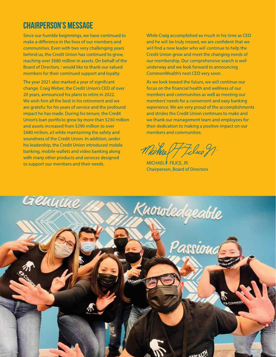#### **CHAIRPERSON'S MESSAGE**

Since our humble beginnings, we have continued to make a difference in the lives of our members and communities. Even with two very challenging years behind us, the Credit Union has continued to grow, reaching over \$680 million in assets. On behalf of the Board of Directors, I would like to thank our valued members for their continued support and loyalty.

The year 2021 also marked a year of significant change. Craig Weber, the Credit Union's CEO of over 20 years, announced his plans to retire in 2022. We wish him all the best in his retirement and we are grateful for his years of service and the profound impact he has made. During his tenure, the Credit Union's loan portfolio grew by more than \$230 million and assets increased from \$290 million to over \$680 million, all while maintaining the safety and soundness of the Credit Union. In addition, under his leadership, the Credit Union introduced mobile banking, mobile wallets and video banking along with many other products and services designed to support our members and their needs.

While Craig accomplished so much in his time as CEO and he will be truly missed, we are confident that we will find a new leader who will continue to help the Credit Union grow and meet the changing needs of our membership. Our comprehensive search is well underway and we look forward to announcing CommonWealth's next CEO very soon.

As we look toward the future, we will continue our focus on the financial health and wellness of our members and communities as well as meeting our members' needs for a convenient and easy banking experience. We are very proud of the accomplishments and strides the Credit Union continues to make and we thank our management team and employees for their dedication to making a positive impact on our members and communities.

Michael Filice n.

MICHAEL  $\overline{k}$ , FILICE, JR. **Chairperson, Board of Directors** 

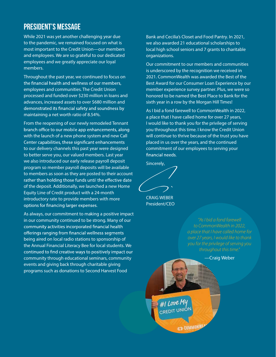#### President's Message

While 2021 was yet another challenging year due to the pandemic, we remained focused on what is most important to the Credit Union—our members and employees. We are so grateful to our dedicated employees and we greatly appreciate our loyal members.

Throughout the past year, we continued to focus on the financial health and wellness of our members, employees and communities. The Credit Union processed and funded over \$230 million in loans and advances, increased assets to over \$680 million and demonstrated its financial safety and soundness by maintaining a net worth ratio of 8.54%.

From the reopening of our newly remodeled Tennant branch office to our mobile app enhancements, along with the launch of a new phone system and new Call Center capabilities, these significant enhancements to our delivery channels this past year were designed to better serve you, our valued members. Last year we also introduced our early release payroll deposit program so member payroll deposits will be available to members as soon as they are posted to their account rather than holding those funds until the effective date of the deposit. Additionally, we launched a new Home Equity Line of Credit product with a 24-month introductory rate to provide members with more options for financing larger expenses.

As always, our commitment to making a positive impact in our community continued to be strong. Many of our community activities incorporated financial health offerings ranging from financial wellness segments being aired on local radio stations to sponsorship of the Annual Financial Literacy Bee for local students. We continued to find creative ways to positively impact our community through educational seminars, community events and giving back through charitable giving programs such as donations to Second Harvest Food

Bank and Cecilia's Closet and Food Pantry. In 2021, we also awarded 21 educational scholarships to local high school seniors and 7 grants to charitable organizations.

Our commitment to our members and communities is underscored by the recognition we received in 2021. CommonWealth was awarded the Best of the Best Award for our Consumer Loan Experience by our member experience survey partner. Plus, we were so honored to be named the Best Place to Bank for the sixth year in a row by the Morgan Hill Times!

As I bid a fond farewell to CommonWealth in 2022, a place that I have called home for over 27 years, I would like to thank you for the privilege of serving you throughout this time. I know the Credit Union will continue to thrive because of the trust you have placed in us over the years, and the continued commitment of our employees to serving your financial needs.

Sincerely,

CRAIG WEBER President/CEO

> *"As I bid a fond farewell to CommonWealth in 2022, a place that I have called home for over 27 years, I would like to thank you for the privilege of serving you*

—Craig Weber#I Love MI CREDIT UNIO **ED COMMONWE**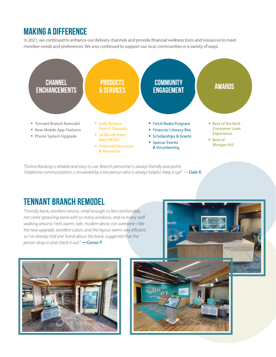### **MAKING A DIFFERENCE**

In 2021, we continued to enhance our delivery channels and provide financial wellness tools and resources to meet member needs and preferences. We also continued to support our local communities in a variety of ways.



"Online Banking is reliable and easy to use. Branch personnel is always friendly and polite. Telephone communication is answered by a live person who is always helpful. Keep it up!" —Dale K.

## **TENNANT BRANCH REMODEL**

"Friendly bank, excellent service, small enough to feel comfortable, not some sprawling bank with so many windows, and so many staff walking around. Feels warm, safe, modern decor, not overdone. I like the new upgrade, excellent colors, and the layout seems very efficient, so I've already told one friend about the bank, suggested that the person drop in and check it out." -Genie P.



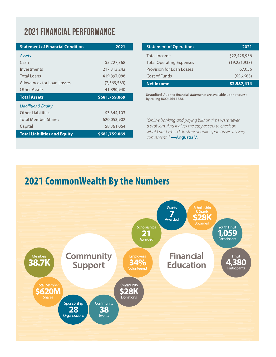# **2021 FINANCIAL PERFORMANCE**

| <b>Statement of Financial Condition</b> | 2021          |
|-----------------------------------------|---------------|
| <b>Assets</b>                           |               |
| Cash                                    | \$5,227,368   |
| Investments                             | 217,313,242   |
| <b>Total Loans</b>                      | 419,897,088   |
| Allowances for Loan Losses              | (2,569,569)   |
| Other Assets                            | 41,890,940    |
|                                         |               |
| <b>Total Assets</b>                     | \$681,759,069 |
| <b>Liabilities &amp; Equity</b>         |               |
| <b>Other Liabilities</b>                | \$3,344,103   |
| <b>Total Member Shares</b>              | 620,053,902   |
| Capital                                 | 58,361,064    |
| <b>Total Liabilities and Equity</b>     | \$681,759,069 |

| <b>Statement of Operations</b>  | 2021           |
|---------------------------------|----------------|
| Total Income                    | \$22,428,956   |
| <b>Total Operating Expenses</b> | (19, 251, 933) |
| Provision for Loan Losses       | 67,056         |
| Cost of Funds                   | (656, 665)     |
| <b>Net Income</b>               | \$2,587,414    |

Unaudited. Audited financial statements are available upon request by calling (800) 564-1588.

"Online banking and paying bills on time were never a problem. And it gives me easy access to check on what I paid when I do store or online purchases. It's very convenient. " - Angustia V.